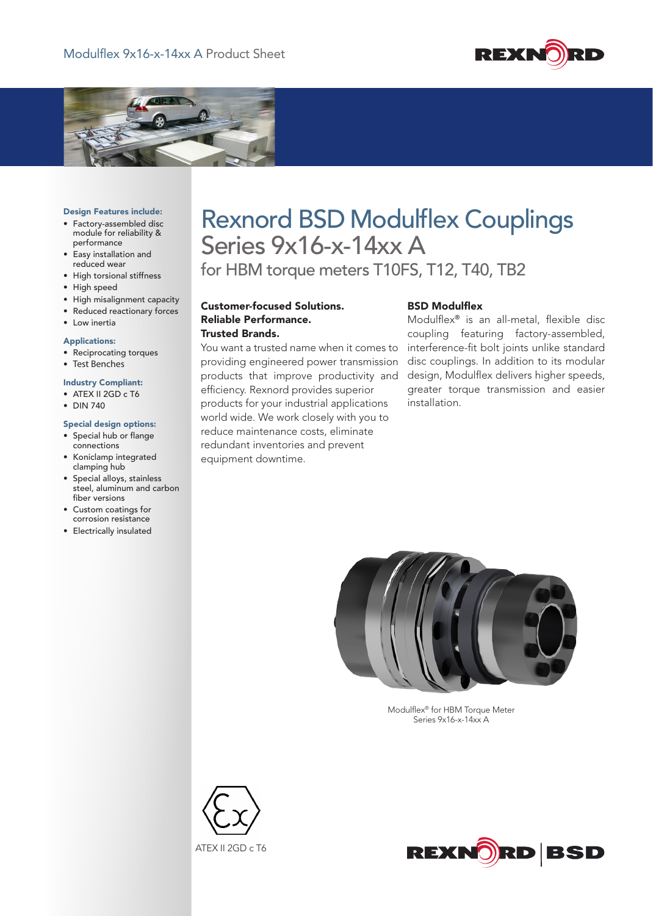



#### Design Features include:

- • Factory-assembled disc module for reliability & performance
- • Easy installation and reduced wear
- • High torsional stiffness
- High speed
- • High misalignment capacity
- • Reduced reactionary forces
- Low inertia

## Applications:

- • Reciprocating torques
- Test Benches

# Industry Compliant:

- ATEX II 2GD c T6
- • DIN 740

#### Special design options:

- • Special hub or flange connections
- • Koniclamp integrated clamping hub
- • Special alloys, stainless steel, aluminum and carbon fiber versions
- • Custom coatings for corrosion resistance
- • Electrically insulated

# Rexnord BSD Modulflex Couplings Series 9x16-x-14xx A

for HBM torque meters T10FS, T12, T40, TB2

Customer-focused Solutions. Reliable Performance. Trusted Brands.

You want a trusted name when it comes to providing engineered power transmission products that improve productivity and efficiency. Rexnord provides superior products for your industrial applications world wide. We work closely with you to reduce maintenance costs, eliminate redundant inventories and prevent equipment downtime.

## BSD Modulflex

Modulflex® is an all-metal, flexible disc coupling featuring factory-assembled, interference-fit bolt joints unlike standard disc couplings. In addition to its modular design, Modulflex delivers higher speeds, greater torque transmission and easier installation.



Modulflex<sup>®</sup> for HBM Torque Meter Series 9x16-x-14xx A



ATEX II 2GD c T6